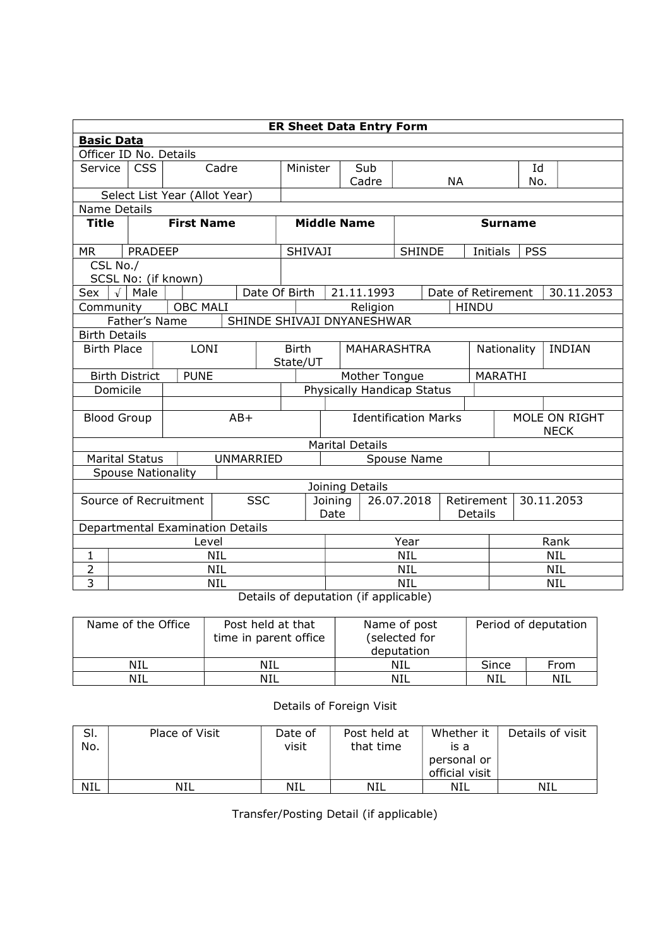| <b>ER Sheet Data Entry Form</b>     |                                                               |                                  |            |                            |                                         |                             |                    |                            |                          |             |                    |                              |            |            |
|-------------------------------------|---------------------------------------------------------------|----------------------------------|------------|----------------------------|-----------------------------------------|-----------------------------|--------------------|----------------------------|--------------------------|-------------|--------------------|------------------------------|------------|------------|
|                                     | <b>Basic Data</b>                                             |                                  |            |                            |                                         |                             |                    |                            |                          |             |                    |                              |            |            |
| Officer ID No. Details              |                                                               |                                  |            |                            |                                         |                             |                    |                            |                          |             |                    |                              |            |            |
| Service                             | <b>CSS</b><br>Cadre                                           |                                  |            |                            | Minister                                |                             | Sub                |                            |                          |             |                    | Id                           |            |            |
|                                     |                                                               |                                  |            |                            |                                         |                             |                    | Cadre                      |                          |             | <b>NA</b>          |                              | No.        |            |
|                                     |                                                               | Select List Year (Allot Year)    |            |                            |                                         |                             |                    |                            |                          |             |                    |                              |            |            |
| <b>Name Details</b>                 |                                                               |                                  |            |                            |                                         |                             |                    |                            |                          |             |                    |                              |            |            |
| <b>Title</b>                        |                                                               | <b>First Name</b>                |            |                            |                                         |                             | <b>Middle Name</b> |                            |                          |             |                    | <b>Surname</b>               |            |            |
| MR                                  | PRADEEP                                                       |                                  |            |                            |                                         | SHIVAJI                     |                    |                            | <b>SHINDE</b>            |             |                    | Initials                     | <b>PSS</b> |            |
| CSL No./                            |                                                               |                                  |            |                            |                                         |                             |                    |                            |                          |             |                    |                              |            |            |
| SCSL No: (if known)                 |                                                               |                                  |            |                            |                                         |                             |                    |                            |                          |             |                    |                              |            |            |
| Sex                                 | $\sqrt{\phantom{a}}$ Male                                     |                                  |            | Date Of Birth              |                                         |                             |                    | 21.11.1993                 |                          |             | Date of Retirement |                              |            | 30.11.2053 |
| Community                           |                                                               | <b>OBC MALI</b>                  |            |                            |                                         |                             |                    | Religion                   |                          |             | <b>HINDU</b>       |                              |            |            |
|                                     | Father's Name                                                 |                                  |            | SHINDE SHIVAJI DNYANESHWAR |                                         |                             |                    |                            |                          |             |                    |                              |            |            |
| <b>Birth Details</b>                |                                                               |                                  |            |                            |                                         |                             |                    |                            |                          |             |                    |                              |            |            |
| <b>Birth Place</b>                  |                                                               | <b>LONI</b>                      |            |                            | <b>Birth</b><br>MAHARASHTRA<br>State/UT |                             |                    |                            |                          | Nationality |                    | <b>INDIAN</b>                |            |            |
|                                     | <b>Birth District</b>                                         | <b>PUNE</b>                      |            |                            |                                         | Mother Tongue               |                    |                            |                          |             |                    | <b>MARATHI</b>               |            |            |
| Domicile                            |                                                               |                                  |            |                            |                                         |                             |                    | Physically Handicap Status |                          |             |                    |                              |            |            |
|                                     |                                                               |                                  |            |                            |                                         |                             |                    |                            |                          |             |                    |                              |            |            |
| <b>Blood Group</b>                  |                                                               |                                  |            | $AB+$                      |                                         | <b>Identification Marks</b> |                    |                            |                          |             |                    | MOLE ON RIGHT<br><b>NECK</b> |            |            |
|                                     |                                                               |                                  |            |                            |                                         |                             |                    | <b>Marital Details</b>     |                          |             |                    |                              |            |            |
|                                     | <b>Marital Status</b>                                         |                                  |            | <b>UNMARRIED</b>           |                                         | Spouse Name                 |                    |                            |                          |             |                    |                              |            |            |
|                                     | <b>Spouse Nationality</b>                                     |                                  |            |                            |                                         |                             |                    |                            |                          |             |                    |                              |            |            |
|                                     |                                                               |                                  |            |                            |                                         |                             |                    | Joining Details            |                          |             |                    |                              |            |            |
| <b>SSC</b><br>Source of Recruitment |                                                               |                                  |            |                            |                                         | Joining                     |                    |                            | 26.07.2018<br>Retirement |             |                    | 30.11.2053                   |            |            |
|                                     |                                                               |                                  |            |                            |                                         |                             | Date<br>Details    |                            |                          |             |                    |                              |            |            |
|                                     |                                                               | Departmental Examination Details |            |                            |                                         |                             |                    |                            |                          |             |                    |                              |            |            |
|                                     |                                                               | Level                            |            |                            |                                         |                             | Year               |                            |                          |             |                    | Rank                         |            |            |
| $\mathbf{1}$                        |                                                               |                                  | <b>NIL</b> |                            |                                         |                             | <b>NIL</b>         |                            |                          |             | <b>NIL</b>         |                              |            |            |
| $\overline{2}$                      |                                                               |                                  | <b>NIL</b> |                            |                                         |                             | <b>NIL</b>         |                            |                          |             | <b>NIL</b>         |                              |            |            |
| 3                                   | <b>NIL</b><br>$\sim$ $\sim$ $\sim$ $\sim$ $\sim$<br>$\cdot$ . |                                  |            |                            |                                         |                             |                    |                            | NIL                      |             |                    |                              |            | <b>NIL</b> |

Details of deputation (if applicable)

| Name of the Office | Post held at that<br>time in parent office | Name of post<br>(selected for<br>deputation | Period of deputation |      |  |  |
|--------------------|--------------------------------------------|---------------------------------------------|----------------------|------|--|--|
| <b>NIL</b>         | NIL                                        | NIL                                         | Since                | From |  |  |
| <b>NIL</b>         | NIL                                        | NIL                                         | NIL                  | NIL  |  |  |

## Details of Foreign Visit

| SI.<br>No. | Place of Visit | Date of<br>visit | Post held at<br>that time | Whether it<br>is a<br>personal or | Details of visit |
|------------|----------------|------------------|---------------------------|-----------------------------------|------------------|
|            |                |                  |                           | official visit                    |                  |
| <b>NIL</b> | NIL            | <b>NIL</b>       | NIL                       | NIL                               | NIL              |

Transfer/Posting Detail (if applicable)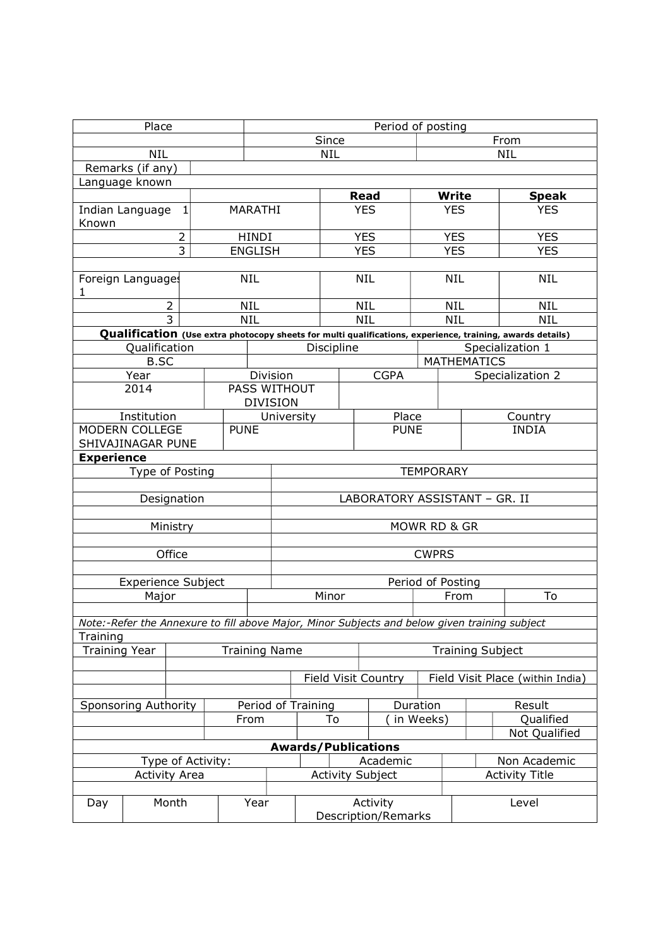| Place                                           |                           |                      |            |                | Period of posting               |                                        |            |                            |           |                            |                                                                                                           |  |  |
|-------------------------------------------------|---------------------------|----------------------|------------|----------------|---------------------------------|----------------------------------------|------------|----------------------------|-----------|----------------------------|-----------------------------------------------------------------------------------------------------------|--|--|
| <b>NIL</b>                                      |                           |                      |            |                |                                 | Since                                  |            | From                       |           |                            |                                                                                                           |  |  |
|                                                 |                           |                      | <b>NIL</b> |                |                                 |                                        | <b>NIL</b> |                            |           |                            |                                                                                                           |  |  |
|                                                 | Remarks (if any)          |                      |            |                |                                 |                                        |            |                            |           |                            |                                                                                                           |  |  |
| Language known                                  |                           |                      |            |                |                                 |                                        |            |                            |           |                            |                                                                                                           |  |  |
|                                                 |                           |                      |            |                |                                 |                                        |            | <b>Read</b>                |           | <b>Write</b>               | <b>Speak</b>                                                                                              |  |  |
| Indian Language<br>$1\vert$<br>MARATHI<br>Known |                           |                      |            |                |                                 |                                        |            | <b>YES</b>                 |           | <b>YES</b>                 | <b>YES</b>                                                                                                |  |  |
|                                                 |                           | $\overline{2}$       |            | HINDI          |                                 |                                        |            | <b>YES</b>                 |           | <b>YES</b>                 | <b>YES</b>                                                                                                |  |  |
|                                                 |                           | 3                    |            | <b>ENGLISH</b> |                                 |                                        |            | <b>YES</b>                 |           | <b>YES</b>                 | <b>YES</b>                                                                                                |  |  |
| Foreign Languages                               |                           |                      |            | <b>NIL</b>     |                                 |                                        |            | <b>NIL</b>                 |           | <b>NIL</b>                 | <b>NIL</b>                                                                                                |  |  |
| 1                                               |                           | $\overline{2}$       |            | <b>NIL</b>     |                                 |                                        |            | <b>NIL</b>                 |           | <b>NIL</b>                 | <b>NIL</b>                                                                                                |  |  |
|                                                 |                           | $\overline{3}$       |            | <b>NIL</b>     |                                 |                                        |            | <b>NIL</b>                 |           | <b>NIL</b>                 | <b>NIL</b>                                                                                                |  |  |
|                                                 |                           |                      |            |                |                                 |                                        |            |                            |           |                            | Qualification (Use extra photocopy sheets for multi qualifications, experience, training, awards details) |  |  |
|                                                 | Qualification             |                      |            |                |                                 | Discipline                             |            |                            |           |                            | Specialization 1                                                                                          |  |  |
|                                                 | <b>B.SC</b>               |                      |            |                |                                 |                                        |            |                            |           | <b>MATHEMATICS</b>         |                                                                                                           |  |  |
|                                                 | Year                      |                      |            |                | Division                        |                                        |            | <b>CGPA</b>                |           |                            | Specialization 2                                                                                          |  |  |
|                                                 | 2014                      |                      |            |                | PASS WITHOUT<br><b>DIVISION</b> |                                        |            |                            |           |                            |                                                                                                           |  |  |
|                                                 | Institution               |                      |            |                | University                      |                                        |            | Place                      |           |                            | Country                                                                                                   |  |  |
| <b>MODERN COLLEGE</b><br>SHIVAJINAGAR PUNE      |                           |                      |            | <b>PUNE</b>    |                                 | <b>PUNE</b>                            |            |                            |           |                            | <b>INDIA</b>                                                                                              |  |  |
| <b>Experience</b>                               |                           |                      |            |                |                                 |                                        |            |                            |           |                            |                                                                                                           |  |  |
|                                                 |                           | Type of Posting      |            |                |                                 | <b>TEMPORARY</b>                       |            |                            |           |                            |                                                                                                           |  |  |
|                                                 |                           |                      |            |                |                                 |                                        |            |                            |           |                            |                                                                                                           |  |  |
|                                                 |                           | Designation          |            |                | LABORATORY ASSISTANT - GR. II   |                                        |            |                            |           |                            |                                                                                                           |  |  |
|                                                 |                           |                      |            |                |                                 |                                        |            |                            |           |                            |                                                                                                           |  |  |
|                                                 |                           | Ministry             |            |                | MOWR RD & GR                    |                                        |            |                            |           |                            |                                                                                                           |  |  |
|                                                 |                           | Office               |            |                | <b>CWPRS</b>                    |                                        |            |                            |           |                            |                                                                                                           |  |  |
|                                                 |                           |                      |            |                |                                 |                                        |            |                            |           |                            |                                                                                                           |  |  |
|                                                 | <b>Experience Subject</b> |                      |            |                |                                 | Period of Posting                      |            |                            |           |                            |                                                                                                           |  |  |
|                                                 | Major                     |                      |            |                | Minor                           |                                        |            |                            |           | From                       | To                                                                                                        |  |  |
|                                                 |                           |                      |            |                |                                 |                                        |            |                            |           |                            |                                                                                                           |  |  |
|                                                 |                           |                      |            |                |                                 |                                        |            |                            |           |                            | Note:-Refer the Annexure to fill above Major, Minor Subjects and below given training subject             |  |  |
| Training                                        |                           |                      |            |                |                                 |                                        |            |                            |           |                            |                                                                                                           |  |  |
| <b>Training Year</b>                            |                           |                      |            |                |                                 | <b>Training Name</b>                   |            |                            |           |                            | <b>Training Subject</b>                                                                                   |  |  |
|                                                 |                           |                      |            |                |                                 |                                        |            | <b>Field Visit Country</b> |           |                            | Field Visit Place (within India)                                                                          |  |  |
|                                                 |                           |                      |            |                |                                 |                                        |            |                            | Duration  |                            |                                                                                                           |  |  |
| <b>Sponsoring Authority</b>                     |                           |                      |            |                |                                 | Period of Training<br>To               |            |                            | in Weeks) |                            | Result                                                                                                    |  |  |
| From                                            |                           |                      |            |                |                                 |                                        |            |                            |           | Qualified<br>Not Qualified |                                                                                                           |  |  |
|                                                 |                           |                      |            |                |                                 |                                        |            |                            |           |                            |                                                                                                           |  |  |
| Type of Activity:                               |                           |                      |            |                |                                 | <b>Awards/Publications</b><br>Academic |            |                            |           |                            | Non Academic                                                                                              |  |  |
|                                                 |                           | <b>Activity Area</b> |            |                |                                 |                                        |            | <b>Activity Subject</b>    |           | <b>Activity Title</b>      |                                                                                                           |  |  |
|                                                 |                           |                      |            |                |                                 |                                        |            |                            |           |                            |                                                                                                           |  |  |
| Month<br>Day                                    |                           |                      | Year       |                |                                 | Activity<br>Description/Remarks        |            |                            |           | Level                      |                                                                                                           |  |  |